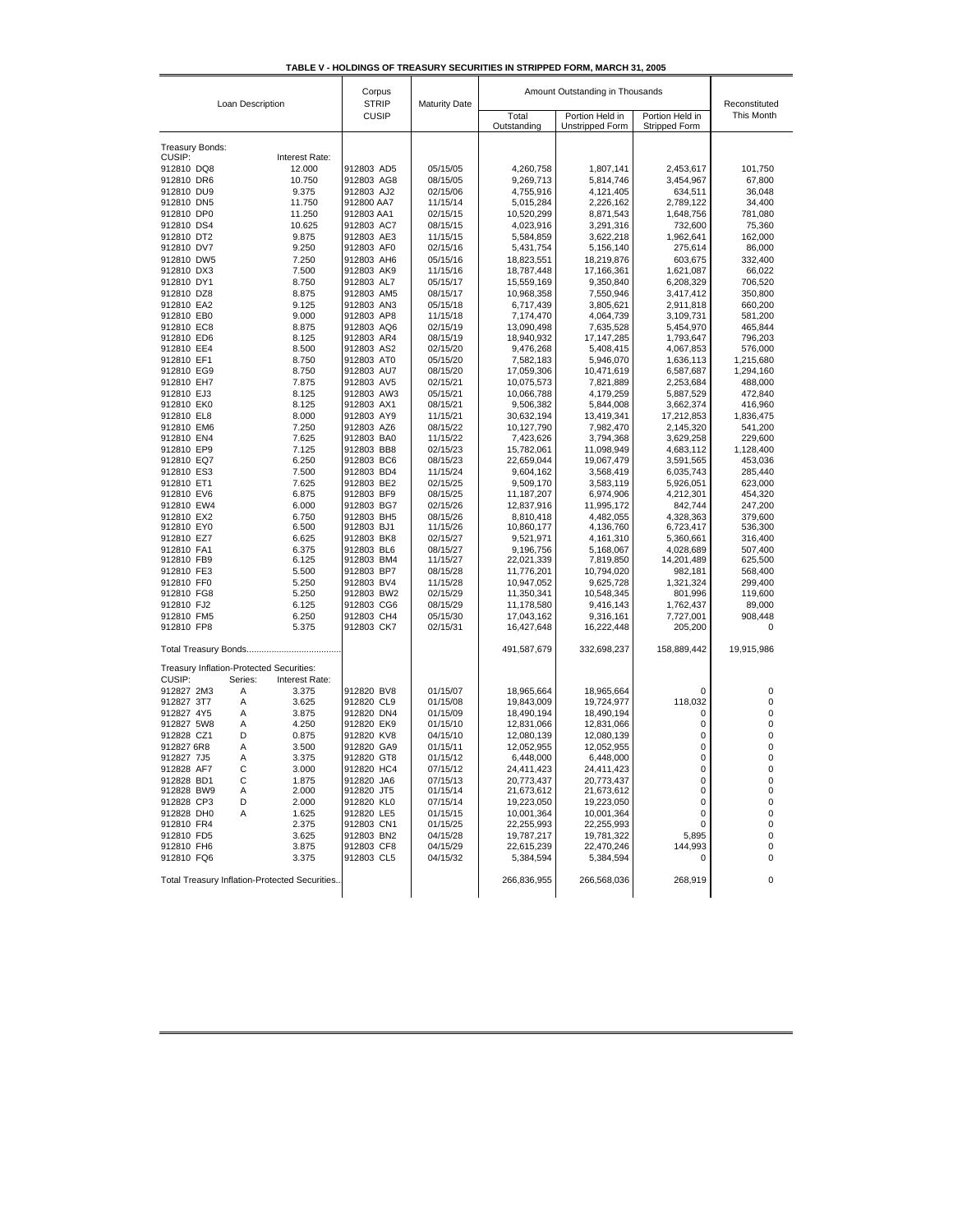| TABLE V - HOLDINGS OF TREASURY SECURITIES IN STRIPPED FORM. MARCH 31, 2005 |  |  |  |
|----------------------------------------------------------------------------|--|--|--|
|                                                                            |  |  |  |

| Loan Description                                     | Corpus<br><b>STRIP</b>   | <b>Maturity Date</b> | Amount Outstanding in Thousands | Reconstituted                             |                                  |                    |
|------------------------------------------------------|--------------------------|----------------------|---------------------------------|-------------------------------------------|----------------------------------|--------------------|
|                                                      | <b>CUSIP</b>             |                      | Total<br>Outstanding            | Portion Held in<br><b>Unstripped Form</b> | Portion Held in<br>Stripped Form | This Month         |
| <b>Treasury Bonds:</b>                               |                          |                      |                                 |                                           |                                  |                    |
| CUSIP:<br>Interest Rate:                             |                          |                      |                                 |                                           |                                  |                    |
| 912810 DQ8<br>12.000                                 | 912803 AD5               | 05/15/05             | 4,260,758                       | 1,807,141                                 | 2,453,617                        | 101,750            |
| 912810 DR6<br>10.750                                 | 912803 AG8               | 08/15/05             | 9,269,713                       | 5,814,746                                 | 3,454,967                        | 67.800             |
| 912810 DU9<br>9.375                                  | 912803 AJ2               | 02/15/06             | 4,755,916                       | 4,121,405                                 | 634,511                          | 36,048             |
| 912810 DN5<br>11.750                                 | 912800 AA7               | 11/15/14             | 5,015,284                       | 2,226,162                                 | 2,789,122                        | 34,400             |
| 11.250<br>912810 DP0                                 | 912803 AA1               | 02/15/15             | 10,520,299                      | 8,871,543                                 | 1,648,756                        | 781,080            |
| 912810 DS4<br>10.625                                 | 912803 AC7               | 08/15/15             | 4,023,916                       | 3,291,316                                 | 732,600                          | 75,360             |
| 912810 DT2<br>9.875                                  | 912803 AE3               | 11/15/15             | 5,584,859                       | 3,622,218                                 | 1,962,641                        | 162,000            |
| 912810 DV7<br>9.250                                  | 912803 AF0               | 02/15/16             | 5,431,754                       | 5,156,140                                 | 275,614                          | 86,000             |
| 912810 DW5<br>7.250<br>7.500<br>912810 DX3           | 912803 AH6<br>912803 AK9 | 05/15/16<br>11/15/16 | 18,823,551<br>18,787,448        | 18,219,876<br>17,166,361                  | 603,675<br>1,621,087             | 332,400<br>66,022  |
| 912810 DY1<br>8.750                                  | 912803 AL7               | 05/15/17             | 15,559,169                      | 9,350,840                                 | 6,208,329                        | 706,520            |
| 912810 DZ8<br>8.875                                  | 912803 AM5               | 08/15/17             | 10,968,358                      | 7,550,946                                 | 3,417,412                        | 350,800            |
| 912810 EA2<br>9.125                                  | 912803 AN3               | 05/15/18             | 6,717,439                       | 3,805,621                                 | 2,911,818                        | 660,200            |
| 912810 EB0<br>9.000                                  | 912803 AP8               | 11/15/18             | 7,174,470                       | 4,064,739                                 | 3,109,731                        | 581,200            |
| 8.875<br>912810 EC8                                  | 912803 AQ6               | 02/15/19             | 13,090,498                      | 7,635,528                                 | 5,454,970                        | 465,844            |
| 912810 ED6<br>8.125                                  | 912803 AR4               | 08/15/19             | 18,940,932                      | 17, 147, 285                              | 1,793,647                        | 796,203            |
| 912810 EE4<br>8.500                                  | 912803 AS2               | 02/15/20             | 9,476,268                       | 5,408,415                                 | 4,067,853                        | 576,000            |
| 912810 EF1<br>8.750                                  | 912803 AT0               | 05/15/20             | 7,582,183                       | 5,946,070                                 | 1,636,113                        | 1,215,680          |
| 912810 EG9<br>8.750                                  | 912803 AU7               | 08/15/20             | 17,059,306                      | 10,471,619                                | 6,587,687                        | 1,294,160          |
| 912810 EH7<br>7.875<br>912810 EJ3<br>8.125           | 912803 AV5<br>912803 AW3 | 02/15/21<br>05/15/21 | 10,075,573<br>10,066,788        | 7,821,889<br>4,179,259                    | 2,253,684<br>5,887,529           | 488,000            |
| 912810 EK0<br>8.125                                  | 912803 AX1               | 08/15/21             | 9,506,382                       | 5,844,008                                 | 3,662,374                        | 472,840<br>416,960 |
| 912810 EL8<br>8.000                                  | 912803 AY9               | 11/15/21             | 30,632,194                      | 13,419,341                                | 17,212,853                       | 1,836,475          |
| 912810 EM6<br>7.250                                  | 912803 AZ6               | 08/15/22             | 10,127,790                      | 7,982,470                                 | 2,145,320                        | 541,200            |
| 912810 EN4<br>7.625                                  | 912803 BA0               | 11/15/22             | 7,423,626                       | 3,794,368                                 | 3,629,258                        | 229,600            |
| 912810 EP9<br>7.125                                  | 912803 BB8               | 02/15/23             | 15,782,061                      | 11,098,949                                | 4,683,112                        | 1,128,400          |
| 6.250<br>912810 EQ7                                  | 912803 BC6               | 08/15/23             | 22,659,044                      | 19,067,479                                | 3,591,565                        | 453,036            |
| 912810 ES3<br>7.500                                  | 912803 BD4               | 11/15/24             | 9,604,162                       | 3,568,419                                 | 6,035,743                        | 285,440            |
| 912810 ET1<br>7.625                                  | 912803 BE2               | 02/15/25             | 9,509,170                       | 3,583,119                                 | 5,926,051                        | 623,000            |
| 912810 EV6<br>6.875                                  | 912803 BF9               | 08/15/25             | 11, 187, 207                    | 6,974,906                                 | 4,212,301                        | 454,320            |
| 6.000<br>912810 EW4                                  | 912803 BG7               | 02/15/26             | 12,837,916                      | 11,995,172                                | 842,744                          | 247,200            |
| 6.750<br>912810 EX2<br>912810 EY0<br>6.500           | 912803 BH5<br>912803 BJ1 | 08/15/26<br>11/15/26 | 8,810,418<br>10,860,177         | 4,482,055<br>4,136,760                    | 4,328,363<br>6,723,417           | 379,600<br>536,300 |
| 6.625<br>912810 EZ7                                  | 912803 BK8               | 02/15/27             | 9,521,971                       | 4,161,310                                 | 5,360,661                        | 316,400            |
| 6.375<br>912810 FA1                                  | 912803 BL6               | 08/15/27             | 9,196,756                       | 5,168,067                                 | 4,028,689                        | 507,400            |
| 6.125<br>912810 FB9                                  | 912803 BM4               | 11/15/27             | 22,021,339                      | 7,819,850                                 | 14,201,489                       | 625,500            |
| 5.500<br>912810 FE3                                  | 912803 BP7               | 08/15/28             | 11,776,201                      | 10,794,020                                | 982,181                          | 568,400            |
| 912810 FF0<br>5.250                                  | 912803 BV4               | 11/15/28             | 10,947,052                      | 9,625,728                                 | 1,321,324                        | 299,400            |
| 912810 FG8<br>5.250                                  | 912803 BW2               | 02/15/29             | 11,350,341                      | 10,548,345                                | 801,996                          | 119,600            |
| 912810 FJ2<br>6.125                                  | 912803 CG6               | 08/15/29             | 11,178,580                      | 9,416,143                                 | 1,762,437                        | 89,000             |
| 6.250<br>912810 FM5                                  | 912803 CH4               | 05/15/30             | 17,043,162                      | 9,316,161                                 | 7,727,001                        | 908,448            |
| 912810 FP8<br>5.375                                  | 912803 CK7               | 02/15/31             | 16,427,648                      | 16,222,448                                | 205,200                          | $\mathbf 0$        |
|                                                      |                          |                      | 491,587,679                     | 332,698,237                               | 158,889,442                      | 19,915,986         |
| Treasury Inflation-Protected Securities:             |                          |                      |                                 |                                           |                                  |                    |
| CUSIP:<br>Series:<br>Interest Rate:                  |                          | 01/15/07             |                                 | 18,965,664                                |                                  | $\mathbf 0$        |
| 912827 2M3<br>Α<br>3.375<br>Α<br>3.625<br>912827 3T7 | 912820 BV8<br>912820 CL9 | 01/15/08             | 18,965,664<br>19,843,009        | 19,724,977                                | 0<br>118,032                     | 0                  |
| 3.875<br>912827 4Y5<br>Α                             | 912820 DN4               | 01/15/09             | 18,490,194                      | 18,490,194                                | 0                                | 0                  |
| 912827 5W8<br>Α<br>4.250                             | 912820 EK9               | 01/15/10             | 12,831,066                      | 12,831,066                                | 0                                | 0                  |
| 912828 CZ1<br>D<br>0.875                             | 912820 KV8               | 04/15/10             | 12,080,139                      | 12,080,139                                | 0                                | 0                  |
| Α<br>3.500<br>912827 6R8                             | 912820 GA9               | 01/15/11             | 12,052,955                      | 12,052,955                                | 0                                | 0                  |
| Α<br>3.375<br>912827 7J5                             | 912820 GT8               | 01/15/12             | 6,448,000                       | 6,448,000                                 | 0                                | $\mathbf 0$        |
| C<br>3.000<br>912828 AF7                             | 912820 HC4               | 07/15/12             | 24,411,423                      | 24,411,423                                | 0                                | 0                  |
| 912828 BD1<br>С<br>1.875                             | 912820 JA6               | 07/15/13             | 20,773,437                      | 20,773,437                                | 0                                | 0                  |
| 912828 BW9<br>Α<br>2.000                             | 912820 JT5               | 01/15/14             | 21,673,612                      | 21,673,612                                | 0                                | 0                  |
| 912828 CP3<br>2.000<br>D<br>912828 DH0               | 912820 KL0               | 07/15/14             | 19,223,050                      | 19,223,050                                | 0                                | 0                  |
| A<br>1.625<br>912810 FR4<br>2.375                    | 912820 LE5<br>912803 CN1 | 01/15/15<br>01/15/25 | 10,001,364<br>22,255,993        | 10,001,364<br>22,255,993                  | 0<br>0                           | 0<br>0             |
| 912810 FD5<br>3.625                                  | 912803 BN2               | 04/15/28             | 19,787,217                      | 19,781,322                                | 5,895                            | 0                  |
| 912810 FH6<br>3.875                                  | 912803 CF8               | 04/15/29             | 22,615,239                      | 22,470,246                                | 144,993                          | 0                  |
| 912810 FQ6<br>3.375                                  | 912803 CL5               | 04/15/32             | 5,384,594                       | 5,384,594                                 | 0                                | 0                  |
| Total Treasury Inflation-Protected Securities.       |                          |                      | 266,836,955                     | 266,568,036                               | 268,919                          | 0                  |